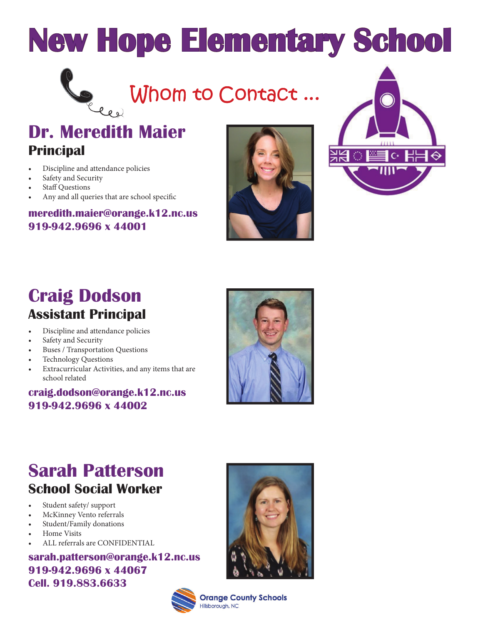

Seed Whom to Contact...

### **Dr. Meredith Maier Principal**

- Discipline and attendance policies
- Safety and Security
- **Staff Questions**
- Any and all queries that are school specific

#### **meredith.maier@orange.k12.nc.us 919-942.9696 x 44001**





## **Craig Dodson Assistant Principal**

- Discipline and attendance policies
- Safety and Security
- Buses / Transportation Questions
- Technology Questions
- Extracurricular Activities, and any items that are school related

### **craig.dodson@orange.k12.nc.us 919-942.9696 x 44002**



# **Sarah Patterson School Social Worker**

- Student safety/ support
- McKinney Vento referrals
- Student/Family donations
- Home Visits
- ALL referrals are CONFIDENTIAL

### **sarah.patterson@orange.k12.nc.us 919-942.9696 x 44067 Cell. 919.883.6633**



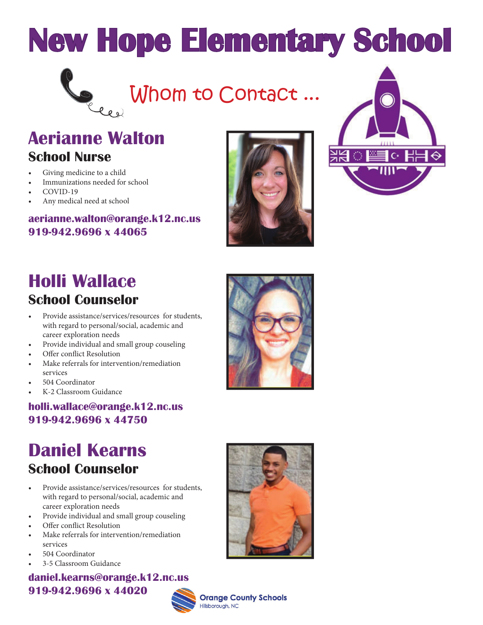

Cell Whom to Contact...

### **Aerianne Walton School Nurse**

- Giving medicine to a child
- Immunizations needed for school
- COVID-19
- Any medical need at school

#### **aerianne.walton@orange.k12.nc.us 919-942.9696 x 44065**





### **Holli Wallace School Counselor**

- Provide assistance/services/resources for students, with regard to personal/social, academic and career exploration needs
- Provide individual and small group couseling
- Offer conflict Resolution
- Make referrals for intervention/remediation services
- 504 Coordinator
- K-2 Classroom Guidance

### **holli.wallace@orange.k12.nc.us 919-942.9696 x 44750**

### **Daniel Kearns School Counselor**

- Provide assistance/services/resources for students, with regard to personal/social, academic and career exploration needs
- Provide individual and small group couseling
- Offer conflict Resolution
- Make referrals for intervention/remediation services
- 504 Coordinator
- 3-5 Classroom Guidance

**daniel.kearns@orange.k12.nc.us 919-942.9696 x 44020**





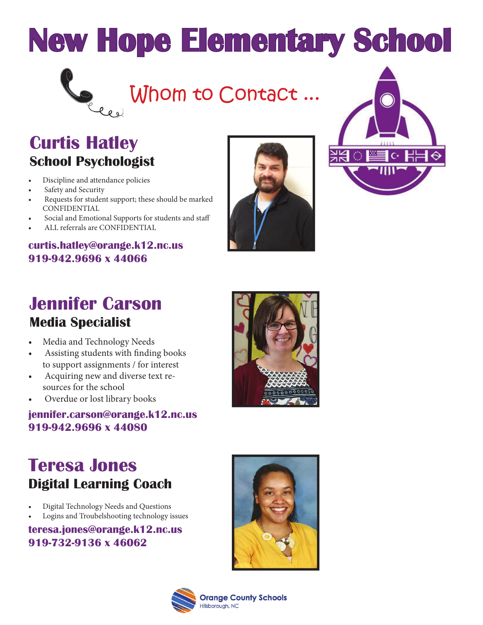

Whom to Contact...

## **Curtis Hatley School Psychologist**

- Discipline and attendance policies
- Safety and Security
- Requests for student support; these should be marked CONFIDENTIAL
- Social and Emotional Supports for students and staff
- ALL referrals are CONFIDENTIAL

#### **curtis.hatley@orange.k12.nc.us 919-942.9696 x 44066**





### **Jennifer Carson Media Specialist**

- Media and Technology Needs
- Assisting students with finding books to support assignments / for interest
- Acquiring new and diverse text resources for the school
- Overdue or lost library books

### **jennifer.carson@orange.k12.nc.us 919-942.9696 x 44080**



### **Teresa Jones Digital Learning Coach**

- Digital Technology Needs and Questions
- Logins and Troubelshooting technology issues

#### **teresa.jones@orange.k12.nc.us 919-732-9136 x 46062**



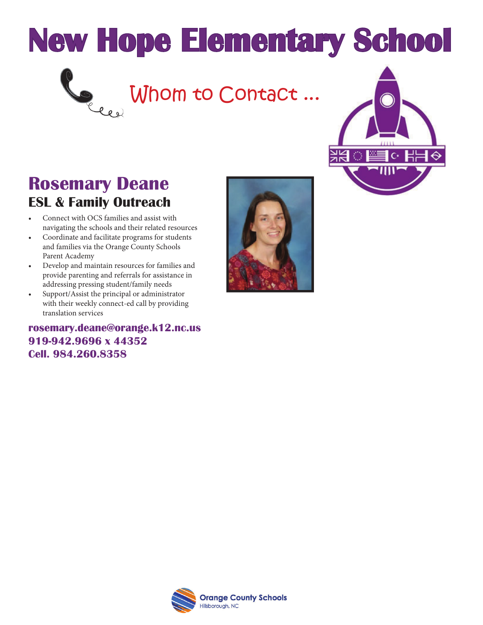

# Comme Contact ...



### **Rosemary Deane ESL & Family Outreach**

- Connect with OCS families and assist with navigating the schools and their related resources
- Coordinate and facilitate programs for students and families via the Orange County Schools Parent Academy
- Develop and maintain resources for families and provide parenting and referrals for assistance in addressing pressing student/family needs
- Support/Assist the principal or administrator with their weekly connect-ed call by providing translation services

**rosemary.deane@orange.k12.nc.us 919-942.9696 x 44352 Cell. 984.260.8358**